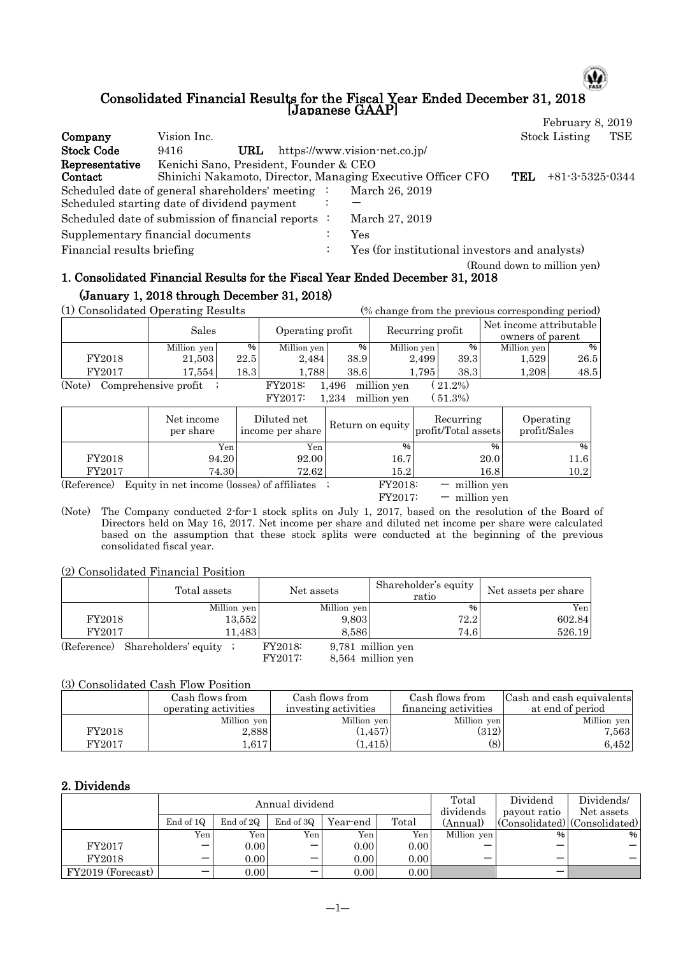#### Consolidated Financial Results for the Fiscal Year Ended December 31, 2018 [Japanese GAAP] February 8, 2019

Ψ

| Company                    | Vision Inc.                                                 |                                                | <b>Stock Listing</b>        | TSE |
|----------------------------|-------------------------------------------------------------|------------------------------------------------|-----------------------------|-----|
| <b>Stock Code</b>          | URL<br>9416                                                 | https://www.vision-net.co.jp/                  |                             |     |
| Representative             | Kenichi Sano, President, Founder & CEO                      |                                                |                             |     |
| Contact                    | Shinichi Nakamoto, Director, Managing Executive Officer CFO |                                                | TEL.<br>$+81-3-5325-0344$   |     |
|                            | Scheduled date of general shareholders' meeting :           | March 26, 2019                                 |                             |     |
|                            | Scheduled starting date of dividend payment                 |                                                |                             |     |
|                            | Scheduled date of submission of financial reports :         | March 27, 2019                                 |                             |     |
|                            | Supplementary financial documents                           | Yes                                            |                             |     |
| Financial results briefing |                                                             | Yes (for institutional investors and analysts) |                             |     |
|                            |                                                             |                                                | (Round down to million yen) |     |

## 1. Consolidated Financial Results for the Fiscal Year Ended December 31, 2018 (January 1, 2018 through December 31, 2018)

(1) Consolidated Operating Results (% change from the previous corresponding period)

| (1) Consolidated Operating Results<br>(% change from the previous corresponding period) |                      |      |                  |       |             |          |                  |      |                                             |  |
|-----------------------------------------------------------------------------------------|----------------------|------|------------------|-------|-------------|----------|------------------|------|---------------------------------------------|--|
|                                                                                         | Sales                |      | Operating profit |       |             |          | Recurring profit |      | Net income attributable<br>owners of parent |  |
|                                                                                         | Million yen          | %    | Million yen      | %     | Million yen | %        | Million yen      | $\%$ |                                             |  |
| FY2018                                                                                  | 21,503               | 22.5 | 2,484            | 38.9  | 2.499       | 39.3     | 1,529            | 26.5 |                                             |  |
| FY2017                                                                                  | 17,554               | 18.3 | 1,788            | 38.6  | 1.795       | 38.3     | 1,208            | 48.5 |                                             |  |
| (Note)                                                                                  | Comprehensive profit |      | <b>FY2018:</b>   | 1.496 | million yen | $21.2\%$ |                  |      |                                             |  |
|                                                                                         |                      |      | FY2017:          | .234  | million ven | 51.3%)   |                  |      |                                             |  |

|             | Net income<br>per share | Diluted net<br>income per share               |         | Recurring<br>$\vert$ Return on equity $\vert$ profit/Total assets | Operating<br>profit/Sales |
|-------------|-------------------------|-----------------------------------------------|---------|-------------------------------------------------------------------|---------------------------|
|             | Yen                     | Yen                                           | %       | $\%$                                                              | %                         |
| FY2018      | 94.20                   | 92.00                                         | 16.7    | 20.0                                                              | 11.6                      |
| FY2017      | 74.30                   | 72.62                                         | 15.2    | 16.8                                                              | 10.2                      |
| (Reference) |                         | Equity in net income (losses) of affiliates ; | FY2018: | $-$ million yen                                                   |                           |
|             |                         |                                               | FY2017: | million yen                                                       |                           |

(Note) The Company conducted 2-for-1 stock splits on July 1, 2017, based on the resolution of the Board of Directors held on May 16, 2017. Net income per share and diluted net income per share were calculated based on the assumption that these stock splits were conducted at the beginning of the previous consolidated fiscal year.

(2) Consolidated Financial Position

|             | Total assets         | Net assets  | Shareholder's equity<br>ratio | Net assets per share |
|-------------|----------------------|-------------|-------------------------------|----------------------|
|             | Million yen          | Million yen | %                             | Yen                  |
| FY2018      | 13,552               | 9,803       | 72.2                          | 602.84               |
| FY2017      | 11.4831              | 8.586       | 74.6                          | 526.19               |
| (Reference) | Shareholders' equity | FY2018:     | 9,781 million yen             |                      |

FY2017: 8,564 million yen

#### (3) Consolidated Cash Flow Position

|        | Cash flows from      | Cash flows from      | Cash flows from      | Cash and cash equivalents |
|--------|----------------------|----------------------|----------------------|---------------------------|
|        | operating activities | investing activities | financing activities | at end of period          |
|        | Million yen          | Million yen          | Million yen          | Million yen               |
| FY2018 | 2.888                | (1, 457)             | (312)                | 7,563                     |
| FY2017 | .617                 | (415)                |                      | $6.452\,$                 |

### 2. Dividends

|                   |                  |           | Annual dividend          | Total    | Dividend | Dividends/  |              |                                       |
|-------------------|------------------|-----------|--------------------------|----------|----------|-------------|--------------|---------------------------------------|
|                   |                  |           |                          |          |          | dividends   | payout ratio | Net assets                            |
|                   | End of 1Q        | End of 2Q | End of 3Q                | Year-end | Total    | (Annual)    |              | $ $ (Consolidated) $ $ (Consolidated) |
|                   | Yen <sub>1</sub> | Yen       | Yen                      | Yen i    | Yen.     | Million yen | $\%$         | %                                     |
| FY2017            |                  | 0.00      |                          | 0.00     | 0.00     |             | –            |                                       |
| FY2018            |                  | 0.00      | $\overline{\phantom{0}}$ | 0.00     | 0.00     | –           | -            |                                       |
| FY2019 (Forecast) |                  | 0.00      | -                        | 0.00     | 0.00     |             | -            |                                       |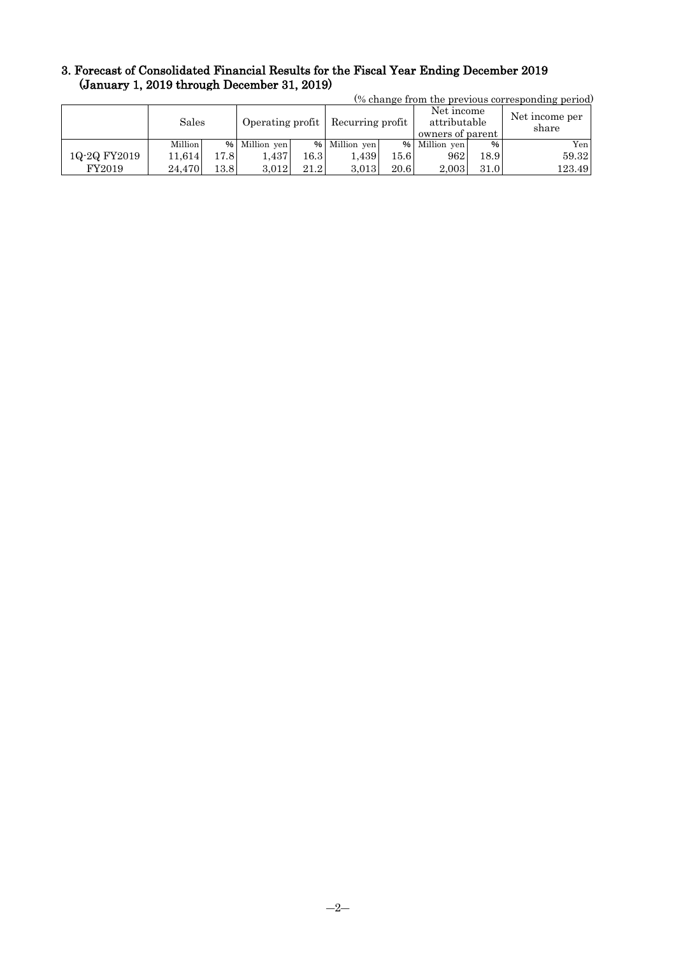## 3. Forecast of Consolidated Financial Results for the Fiscal Year Ending December 2019 (January 1, 2019 through December 31, 2019)

| (% change from the previous corresponding period) |         |       |                  |      |                  |       |                                                |      |                         |  |
|---------------------------------------------------|---------|-------|------------------|------|------------------|-------|------------------------------------------------|------|-------------------------|--|
|                                                   | Sales   |       | Operating profit |      | Recurring profit |       | Net income<br>attributable<br>owners of parent |      | Net income per<br>share |  |
|                                                   | Million |       | % Million yen    |      | % Million yen    |       | % Million yen                                  | %    | Yen <sub>1</sub>        |  |
| 1Q-2Q FY2019                                      | 11.614  | 17.81 | . 437            | 16.3 | 1.439            | 15.61 | 962                                            | 18.9 | 59.32                   |  |
| FY2019                                            | 24.470  | 13.8  | 3.012            | 21.2 | 3.013            | 20.6  | 2.003                                          | 31.0 | 123.49                  |  |